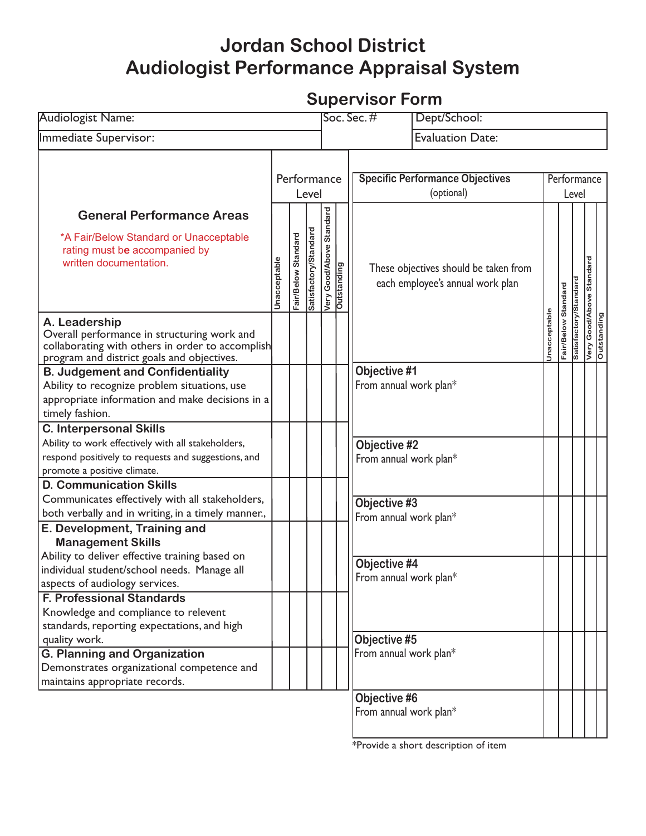## **Jordan School District Audiologist Performance Appraisal System**

## **Supervisor Form**

| <b>Audiologist Name:</b>                                                                                                                                                                        |                      |                     |                       | Dept/School:<br>Soc. Sec. $#$                      |                         |                                                      |                                                                           |                      |            |                       |                                         |  |
|-------------------------------------------------------------------------------------------------------------------------------------------------------------------------------------------------|----------------------|---------------------|-----------------------|----------------------------------------------------|-------------------------|------------------------------------------------------|---------------------------------------------------------------------------|----------------------|------------|-----------------------|-----------------------------------------|--|
| Immediate Supervisor:                                                                                                                                                                           |                      |                     |                       |                                                    | <b>Evaluation Date:</b> |                                                      |                                                                           |                      |            |                       |                                         |  |
|                                                                                                                                                                                                 | Performance<br>Level |                     |                       |                                                    |                         | <b>Specific Performance Objectives</b><br>(optional) |                                                                           | Performance<br>Level |            |                       |                                         |  |
| <b>General Performance Areas</b><br>*A Fair/Below Standard or Unacceptable<br>rating must be accompanied by<br>written documentation.                                                           | Jnacceptable         | Fair/Below Standard | Satisfactory/Standard | Good/Above Standard<br>Very Good/Ab<br>Outstanding |                         |                                                      | These objectives should be taken from<br>each employee's annual work plan |                      | Standard   |                       | Very Good/Above Standard<br>Outstanding |  |
| A. Leadership<br>Overall performance in structuring work and<br>collaborating with others in order to accomplish<br>program and district goals and objectives.                                  |                      |                     |                       |                                                    |                         |                                                      | Jnacceptable                                                              |                      | Fair/Below | Satisfactory/Standard |                                         |  |
| <b>B. Judgement and Confidentiality</b><br>Ability to recognize problem situations, use<br>appropriate information and make decisions in a<br>timely fashion.<br><b>C. Interpersonal Skills</b> |                      |                     |                       |                                                    |                         | Objective #1<br>From annual work plan*               |                                                                           |                      |            |                       |                                         |  |
| Ability to work effectively with all stakeholders,<br>respond positively to requests and suggestions, and<br>promote a positive climate.                                                        |                      |                     |                       |                                                    |                         | Objective #2<br>From annual work plan*               |                                                                           |                      |            |                       |                                         |  |
| <b>D. Communication Skills</b><br>Communicates effectively with all stakeholders,<br>both verbally and in writing, in a timely manner.,<br>E. Development, Training and                         |                      |                     |                       |                                                    |                         | Objective #3<br>From annual work plan*               |                                                                           |                      |            |                       |                                         |  |
| <b>Management Skills</b><br>Ability to deliver effective training based on<br>individual student/school needs. Manage all<br>aspects of audiology services.                                     |                      |                     |                       |                                                    |                         | Objective #4<br>From annual work plan*               |                                                                           |                      |            |                       |                                         |  |
| <b>F. Professional Standards</b><br>Knowledge and compliance to relevent<br>standards, reporting expectations, and high<br>quality work.                                                        |                      |                     |                       |                                                    |                         | Objective #5                                         |                                                                           |                      |            |                       |                                         |  |
| <b>G. Planning and Organization</b><br>Demonstrates organizational competence and<br>maintains appropriate records.                                                                             |                      |                     |                       |                                                    | From annual work plan*  |                                                      |                                                                           |                      |            |                       |                                         |  |
|                                                                                                                                                                                                 |                      |                     |                       |                                                    |                         | Objective #6<br>From annual work plan*               |                                                                           |                      |            |                       |                                         |  |

\*Provide a short description of item